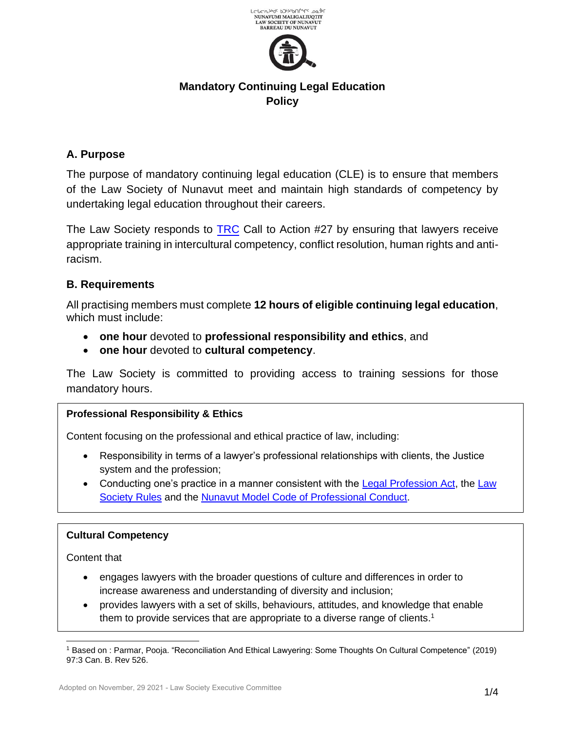



# **Mandatory Continuing Legal Education Policy**

# **A. Purpose**

The purpose of mandatory continuing legal education (CLE) is to ensure that members of the Law Society of Nunavut meet and maintain high standards of competency by undertaking legal education throughout their careers.

The Law Society responds to [TRC](https://www.lawsociety.nu.ca/sites/default/files/committees/Truth%20Reconciliation/TRC%20Calls_to_Action_English2.pdf) Call to Action #27 by ensuring that lawyers receive appropriate training in intercultural competency, conflict resolution, human rights and antiracism.

### **B. Requirements**

All practising members must complete **12 hours of eligible continuing legal education**, which must include:

- **one hour** devoted to **professional responsibility and ethics**, and
- **one hour** devoted to **cultural competency**.

The Law Society is committed to providing access to training sessions for those mandatory hours.

### **Professional Responsibility & Ethics**

Content focusing on the professional and ethical practice of law, including:

- Responsibility in terms of a lawyer's professional relationships with clients, the Justice system and the profession;
- Conducting one's practice in a manner consistent with the [Legal Profession Act,](https://www.lawsociety.nu.ca/sites/default/files/public/Consolidation%20of%20Legal%20Profession%20Act.pdf) the [Law](https://www.lawsociety.nu.ca/sites/default/files/website-general/LSN%20Consolidated%20Rules%20June%2024%5EJ%202021.pdf) [Society Rules](https://www.lawsociety.nu.ca/sites/default/files/website-general/LSN%20Consolidated%20Rules%20June%2024%5EJ%202021.pdf) and the [Nunavut Model Code of Professional Conduct.](https://www.lawsociety.nu.ca/sites/default/files/NU%20Model%20Code%20of%20Conduct%20%20FINAL%20May%202016%20adopted%20Nov%207%202016.pdf)

#### **Cultural Competency**

Content that

- engages lawyers with the broader questions of culture and differences in order to increase awareness and understanding of diversity and inclusion;
- provides lawyers with a set of skills, behaviours, attitudes, and knowledge that enable them to provide services that are appropriate to a diverse range of clients.<sup>1</sup>

<sup>1</sup> Based on : Parmar, Pooja. "Reconciliation And Ethical Lawyering: Some Thoughts On Cultural Competence" (2019) 97:3 Can. B. Rev 526.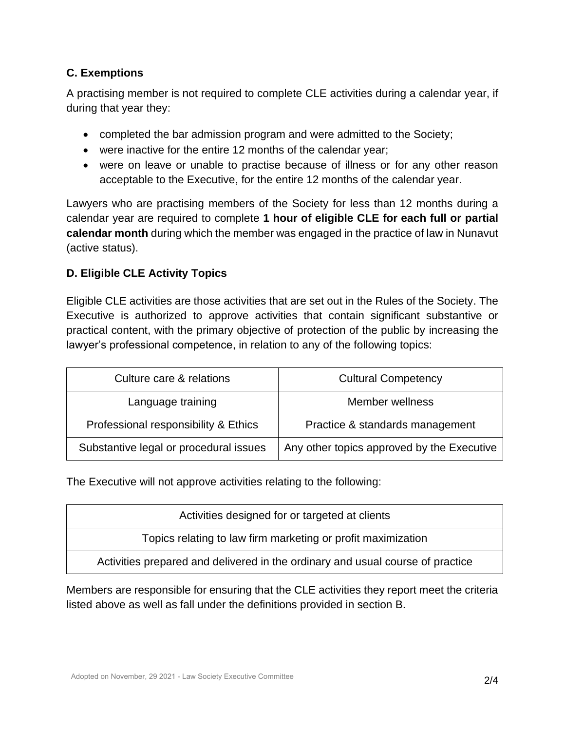# **C. Exemptions**

A practising member is not required to complete CLE activities during a calendar year, if during that year they:

- completed the bar admission program and were admitted to the Society;
- were inactive for the entire 12 months of the calendar year;
- were on leave or unable to practise because of illness or for any other reason acceptable to the Executive, for the entire 12 months of the calendar year.

Lawyers who are practising members of the Society for less than 12 months during a calendar year are required to complete **1 hour of eligible CLE for each full or partial calendar month** during which the member was engaged in the practice of law in Nunavut (active status).

# **D. Eligible CLE Activity Topics**

Eligible CLE activities are those activities that are set out in the Rules of the Society. The Executive is authorized to approve activities that contain significant substantive or practical content, with the primary objective of protection of the public by increasing the lawyer's professional competence, in relation to any of the following topics:

| Culture care & relations               | <b>Cultural Competency</b>                 |  |
|----------------------------------------|--------------------------------------------|--|
| Language training                      | Member wellness                            |  |
| Professional responsibility & Ethics   | Practice & standards management            |  |
| Substantive legal or procedural issues | Any other topics approved by the Executive |  |

The Executive will not approve activities relating to the following:

| Activities designed for or targeted at clients                                 |  |
|--------------------------------------------------------------------------------|--|
| Topics relating to law firm marketing or profit maximization                   |  |
| Activities prepared and delivered in the ordinary and usual course of practice |  |

Members are responsible for ensuring that the CLE activities they report meet the criteria listed above as well as fall under the definitions provided in section B.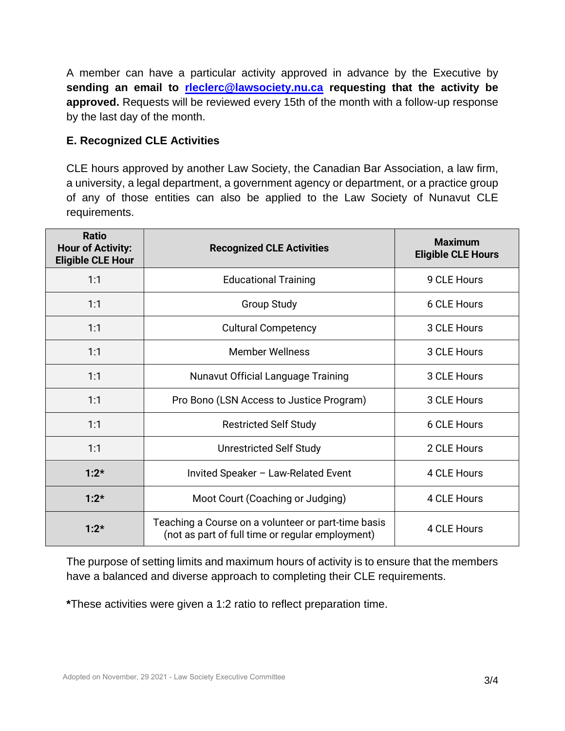A member can have a particular activity approved in advance by the Executive by **sending an email to [rleclerc@lawsociety.nu.ca](mailto:rleclerc@lawsociety.nu.ca) requesting that the activity be approved.** Requests will be reviewed every 15th of the month with a follow-up response by the last day of the month.

#### **E. Recognized CLE Activities**

CLE hours approved by another Law Society, the Canadian Bar Association, a law firm, a university, a legal department, a government agency or department, or a practice group of any of those entities can also be applied to the Law Society of Nunavut CLE requirements.

| <b>Ratio</b><br><b>Hour of Activity:</b><br><b>Eligible CLE Hour</b> | <b>Recognized CLE Activities</b>                                                                        | <b>Maximum</b><br><b>Eligible CLE Hours</b> |
|----------------------------------------------------------------------|---------------------------------------------------------------------------------------------------------|---------------------------------------------|
| 1:1                                                                  | <b>Educational Training</b>                                                                             | 9 CLE Hours                                 |
| 1:1                                                                  | <b>Group Study</b>                                                                                      | 6 CLE Hours                                 |
| 1:1                                                                  | <b>Cultural Competency</b>                                                                              | 3 CLE Hours                                 |
| 1:1                                                                  | <b>Member Wellness</b>                                                                                  | 3 CLE Hours                                 |
| 1:1                                                                  | Nunavut Official Language Training                                                                      | 3 CLE Hours                                 |
| 1:1                                                                  | Pro Bono (LSN Access to Justice Program)                                                                | 3 CLE Hours                                 |
| 1:1                                                                  | <b>Restricted Self Study</b>                                                                            | 6 CLE Hours                                 |
| 1:1                                                                  | <b>Unrestricted Self Study</b>                                                                          | 2 CLE Hours                                 |
| $1:2*$                                                               | Invited Speaker - Law-Related Event                                                                     | 4 CLE Hours                                 |
| $1:2*$                                                               | Moot Court (Coaching or Judging)                                                                        | 4 CLE Hours                                 |
| $1:2*$                                                               | Teaching a Course on a volunteer or part-time basis<br>(not as part of full time or regular employment) | 4 CLE Hours                                 |

The purpose of setting limits and maximum hours of activity is to ensure that the members have a balanced and diverse approach to completing their CLE requirements.

**\***These activities were given a 1:2 ratio to reflect preparation time.